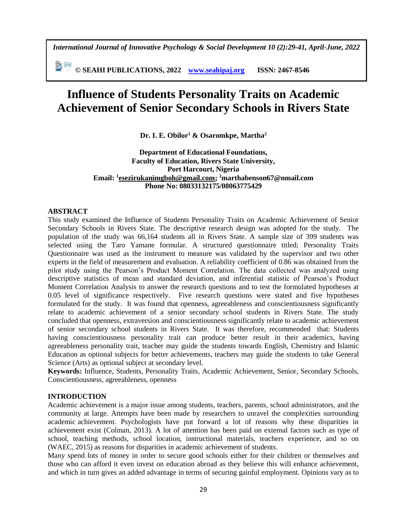*International Journal of Innovative Psychology & Social Development 10 (2):29-41, April-June, 2022*

副洲 **© SEAHI PUBLICATIONS, 2022 [www.seahipaj.org](http://www.seahipaj.org/) ISSN: 2467-8546**

# **Influence of Students Personality Traits on Academic Achievement of Senior Secondary Schools in Rivers State**

**Dr. I. E. Obilor<sup>1</sup> & Osaromkpe, Martha<sup>2</sup>**

# **Department of Educational Foundations, Faculty of Education, Rivers State University, Port Harcourt, Nigeria Email: <sup>1</sup> [esezirukanimgboh@gmail.com;](mailto:esezirukanimgboh@gmail.com) <sup>2</sup>marthabenson67@nmail.com Phone No: 08033132175/08063775429**

#### **ABSTRACT**

This study examined the Influence of Students Personality Traits on Academic Achievement of Senior Secondary Schools in Rivers State. The descriptive research design was adopted for the study. The population of the study was 66,164 students all in Rivers State. A sample size of 399 students was selected using the Taro Yamane formular. A structured questionnaire titled; Personality Traits Questionnaire was used as the instrument to measure was validated by the supervisor and two other experts in the field of measurement and evaluation. A reliability coefficient of 0.86 was obtained from the pilot study using the Pearson's Product Moment Correlation. The data collected was analyzed using descriptive statistics of mean and standard deviation, and inferential statistic of Pearson's Product Moment Correlation Analysis to answer the research questions and to test the formulated hypotheses at 0.05 level of significance respectively. Five research questions were stated and five hypotheses formulated for the study. It was found that openness, agreeableness and conscientiousness significantly relate to academic achievement of a senior secondary school students in Rivers State. The study concluded that openness, extraversion and conscientiousness significantly relate to academic achievement of senior secondary school students in Rivers State. It was therefore, recommended that: Students having conscientiousness personality trait can produce better result in their academics, having agreeableness personality trait, teacher may guide the students towards English, Chemistry and Islamic Education as optional subjects for better achievements, teachers may guide the students to take General Science (Arts) as optional subject at secondary level.

**Keywords:** Influence, Students, Personality Traits, Academic Achievement, Senior, Secondary Schools, Conscientiousness, agreeableness, openness

## **INTRODUCTION**

Academic achievement is a major issue among students, teachers, parents, school administrators, and the community at large. Attempts have been made by researchers to unravel the complexities surrounding academic achievement. Psychologists have put forward a lot of reasons why these disparities in achievement exist (Colman, 2013). A lot of attention has been paid on external factors such as type of school, teaching methods, school location, instructional materials, teachers experience, and so on (WAEC, 2015) as reasons for disparities in academic achievement of students.

Many spend lots of money in order to secure good schools either for their children or themselves and those who can afford it even invest on education abroad as they believe this will enhance achievement, and which in turn gives an added advantage in terms of securing gainful employment. Opinions vary as to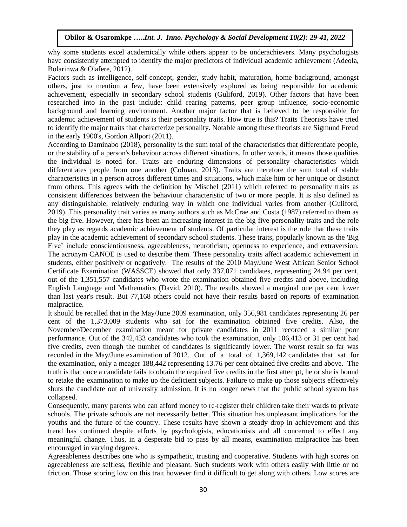why some students excel academically while others appear to be underachievers. Many psychologists have consistently attempted to identify the major predictors of individual academic achievement (Adeola, Bolarinwa & Olafere, 2012).

Factors such as intelligence, self-concept, gender, study habit, maturation, home background, amongst others, just to mention a few, have been extensively explored as being responsible for academic achievement, especially in secondary school students (Guliford, 2019). Other factors that have been researched into in the past include: child rearing patterns, peer group influence, socio-economic background and learning environment. Another major factor that is believed to be responsible for academic achievement of students is their personality traits. How true is this? Traits Theorists have tried to identify the major traits that characterize personality. Notable among these theorists are Sigmund Freud in the early 1900's, Gordon Allport (2011).

According to Daminabo (2018), personality is the sum total of the characteristics that differentiate people, or the stability of a person's behaviour across different situations. In other words, it means those qualities the individual is noted for. Traits are enduring dimensions of personality characteristics which differentiates people from one another (Colman, 2013). Traits are therefore the sum total of stable characteristics in a person across different times and situations, which make him or her unique or distinct from others. This agrees with the definition by Mischel (2011) which referred to personality traits as consistent differences between the behaviour characteristic of two or more people. It is also defined as any distinguishable, relatively enduring way in which one individual varies from another (Guliford, 2019). This personality trait varies as many authors such as McCrae and Costa (1987) referred to them as the big five. However, there has been an increasing interest in the big five personality traits and the role they play as regards academic achievement of students. Of particular interest is the role that these traits play in the academic achievement of secondary school students. These traits, popularly known as the 'Big Five' include conscientiousness, agreeableness, neuroticism, openness to experience, and extraversion. The acronym CANOE is used to describe them. These personality traits affect academic achievement in students, either positively or negatively. The results of the 2010 May/June West African Senior School Certificate Examination (WASSCE) showed that only 337,071 candidates, representing 24.94 per cent, out of the 1,351,557 candidates who wrote the examination obtained five credits and above, including English Language and Mathematics (David, 2010). The results showed a marginal one per cent lower than last year's result. But 77,168 others could not have their results based on reports of examination malpractice.

It should be recalled that in the May/June 2009 examination, only 356,981 candidates representing 26 per cent of the 1,373,009 students who sat for the examination obtained five credits. Also, the November/December examination meant for private candidates in 2011 recorded a similar poor performance. Out of the 342,433 candidates who took the examination, only 106,413 or 31 per cent had five credits, even though the number of candidates is significantly lower. The worst result so far was recorded in the May/June examination of 2012. Out of a total of 1,369,142 candidates that sat for the examination, only a meager 188,442 representing 13.76 per cent obtained five credits and above. The truth is that once a candidate fails to obtain the required five credits in the first attempt, he or she is bound to retake the examination to make up the deficient subjects. Failure to make up those subjects effectively shuts the candidate out of university admission. It is no longer news that the public school system has collapsed.

Consequently, many parents who can afford money to re-register their children take their wards to private schools. The private schools are not necessarily better. This situation has unpleasant implications for the youths and the future of the country. These results have shown a steady drop in achievement and this trend has continued despite efforts by psychologists, educationists and all concerned to effect any meaningful change. Thus, in a desperate bid to pass by all means, examination malpractice has been encouraged in varying degrees.

Agreeableness describes one who is sympathetic, trusting and cooperative. Students with high scores on agreeableness are selfless, flexible and pleasant. Such students work with others easily with little or no friction. Those scoring low on this trait however find it difficult to get along with others. Low scores are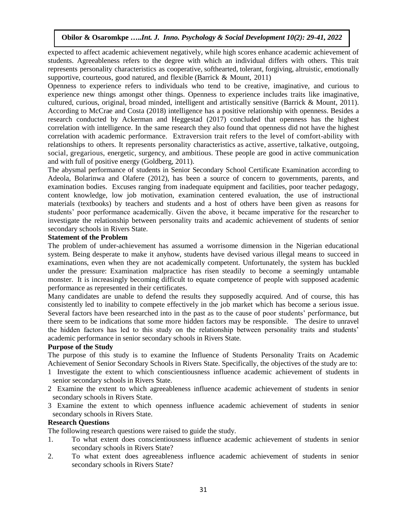expected to affect academic achievement negatively, while high scores enhance academic achievement of students. Agreeableness refers to the degree with which an individual differs with others. This trait represents personality characteristics as cooperative, softhearted, tolerant, forgiving, altruistic, emotionally supportive, courteous, good natured, and flexible (Barrick & Mount, 2011)

Openness to experience refers to individuals who tend to be creative, imaginative, and curious to experience new things amongst other things. Openness to experience includes traits like imaginative, cultured, curious, original, broad minded, intelligent and artistically sensitive (Barrick & Mount, 2011). According to McCrae and Costa (2018) intelligence has a positive relationship with openness. Besides a research conducted by Ackerman and Heggestad (2017) concluded that openness has the highest correlation with intelligence. In the same research they also found that openness did not have the highest correlation with academic performance. Extraversion trait refers to the level of comfort-ability with relationships to others. It represents personality characteristics as active, assertive, talkative, outgoing, social, gregarious, energetic, surgency, and ambitious. These people are good in active communication and with full of positive energy (Goldberg, 2011).

The abysmal performance of students in Senior Secondary School Certificate Examination according to Adeola, Bolarinwa and Olafere (2012), has been a source of concern to governments, parents, and examination bodies. Excuses ranging from inadequate equipment and facilities, poor teacher pedagogy, content knowledge, low job motivation, examination centered evaluation, the use of instructional materials (textbooks) by teachers and students and a host of others have been given as reasons for students' poor performance academically. Given the above, it became imperative for the researcher to investigate the relationship between personality traits and academic achievement of students of senior secondary schools in Rivers State.

#### **Statement of the Problem**

The problem of under-achievement has assumed a worrisome dimension in the Nigerian educational system. Being desperate to make it anyhow, students have devised various illegal means to succeed in examinations, even when they are not academically competent. Unfortunately, the system has buckled under the pressure: Examination malpractice has risen steadily to become a seemingly untamable monster. It is increasingly becoming difficult to equate competence of people with supposed academic performance as represented in their certificates.

Many candidates are unable to defend the results they supposedly acquired. And of course, this has consistently led to inability to compete effectively in the job market which has become a serious issue. Several factors have been researched into in the past as to the cause of poor students' performance, but there seem to be indications that some more hidden factors may be responsible. The desire to unravel the hidden factors has led to this study on the relationship between personality traits and students' academic performance in senior secondary schools in Rivers State.

#### **Purpose of the Study**

The purpose of this study is to examine the Influence of Students Personality Traits on Academic Achievement of Senior Secondary Schools in Rivers State. Specifically, the objectives of the study are to:

- 1 Investigate the extent to which conscientiousness influence academic achievement of students in senior secondary schools in Rivers State.
- 2 Examine the extent to which agreeableness influence academic achievement of students in senior secondary schools in Rivers State.
- 3 Examine the extent to which openness influence academic achievement of students in senior secondary schools in Rivers State.

## **Research Questions**

The following research questions were raised to guide the study.

- 1. To what extent does conscientiousness influence academic achievement of students in senior secondary schools in Rivers State?
- 2. To what extent does agreeableness influence academic achievement of students in senior secondary schools in Rivers State?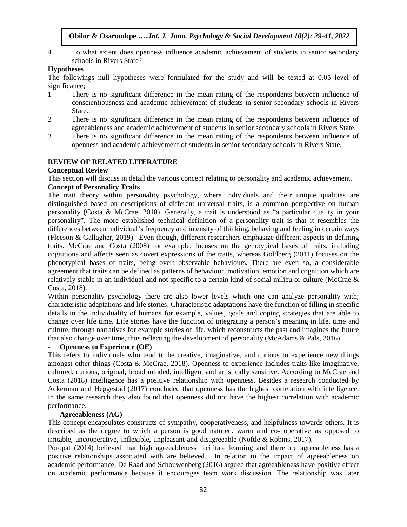4 To what extent does openness influence academic achievement of students in senior secondary schools in Rivers State?

# **Hypotheses**

The followings null hypotheses were formulated for the study and will be tested at 0.05 level of significance:

- 1 There is no significant difference in the mean rating of the respondents between influence of conscientiousness and academic achievement of students in senior secondary schools in Rivers State..
- 2 There is no significant difference in the mean rating of the respondents between influence of agreeableness and academic achievement of students in senior secondary schools in Rivers State.
- 3 There is no significant difference in the mean rating of the respondents between influence of openness and academic achievement of students in senior secondary schools in Rivers State.

# **REVIEW OF RELATED LITERATURE**

## **Conceptual Review**

This section will discuss in detail the various concept relating to personality and academic achievement.

# **Concept of Personality Traits**

The trait theory within personality psychology, where individuals and their unique qualities are distinguished based on descriptions of different universal traits, is a common perspective on human personality (Costa & McCrae, 2018). Generally, a trait is understood as "a particular quality in your personality". The more established technical definition of a personality trait is that it resembles the differences between individual's frequency and intensity of thinking, behaving and feeling in certain ways (Fleeson & Gallagher, 2019). Even though, different researchers emphasize different aspects in defining traits. McCrae and Costa (2008) for example, focuses on the genotypical bases of traits, including cognitions and affects seen as covert expressions of the traits, whereas Goldberg (2011) focuses on the phenotypical bases of traits, being overt observable behaviours. There are even so, a considerable agreement that traits can be defined as patterns of behaviour, motivation, emotion and cognition which are relatively stable in an individual and not specific to a certain kind of social milieu or culture (McCrae & Costa, 2018).

Within personality psychology there are also lower levels which one can analyze personality with; characteristic adaptations and life stories. Characteristic adaptations have the function of filling in specific details in the individuality of humans for example, values, goals and coping strategies that are able to change over life time. Life stories have the function of integrating a person's meaning in life, time and culture, through narratives for example stories of life, which reconstructs the past and imagines the future that also change over time, thus reflecting the development of personality (McAdams & Pals, 2016).

## - **Openness to Experience (OE)**

This refers to individuals who tend to be creative, imaginative, and curious to experience new things amongst other things (Costa & McCrae, 2018). Openness to experience includes traits like imaginative, cultured, curious, original, broad minded, intelligent and artistically sensitive. According to McCrae and Costa (2018) intelligence has a positive relationship with openness. Besides a research conducted by Ackerman and Heggestad (2017) concluded that openness has the highest correlation with intelligence. In the same research they also found that openness did not have the highest correlation with academic performance.

## - **Agreeableness (AG)**

This concept encapsulates constructs of sympathy, cooperativeness, and helpfulness towards others. It is described as the degree to which a person is good natured, warm and co- operative as opposed to irritable, uncooperative, inflexible, unpleasant and disagreeable (Noftle & Robins, 2017).

Poropat (2014) believed that high agreeableness facilitate learning and therefore agreeableness has a positive relationships associated with are believed. In relation to the impact of agreeableness on academic performance, De Raad and Schouwenberg (2016) argued that agreeableness have positive effect on academic performance because it encourages team work discussion. The relationship was later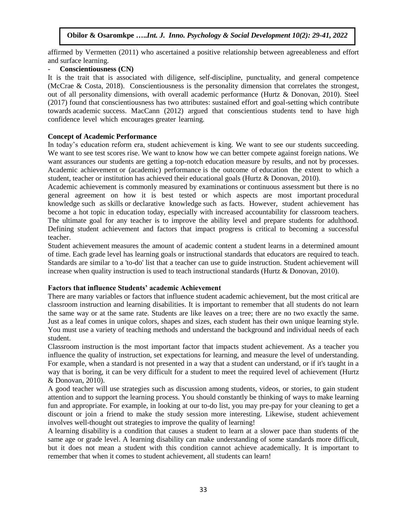affirmed by Vermetten (2011) who ascertained a positive relationship between agreeableness and effort and surface learning.

## - **Conscientiousness (CN)**

It is the trait that is associated with diligence, self-discipline, punctuality, and general competence (McCrae & Costa, 2018). Conscientiousness is the personality dimension that correlates the strongest, out of all personality dimensions, with overall academic performance (Hurtz & Donovan, 2010). Steel (2017) found that conscientiousness has two attributes: sustained effort and goal-setting which contribute towards academic success. MacCann (2012) argued that conscientious students tend to have high confidence level which encourages greater learning.

## **Concept of Academic Performance**

In today's education reform era, student achievement is king. We want to see our students succeeding. We want to see test scores rise. We want to know how we can better compete against foreign nations. We want assurances our students are getting a top-notch education measure by results, and not by processes. Academic achievement or (academic) performance is the outcome of [education](https://en.wikipedia.org/wiki/Education) the extent to which a student, teacher or institution has achieved their educational goals (Hurtz & Donovan, 2010).

Academic achievement is commonly measured by [examinations](https://en.wikipedia.org/wiki/Test_(assessment)) or [continuous assessment](https://en.wikipedia.org/wiki/Continuous_assessment) but there is no general agreement on how it is best tested or which aspects are most important [procedural](https://en.wikipedia.org/wiki/Procedural_knowledge)  [knowledge](https://en.wikipedia.org/wiki/Procedural_knowledge) such as [skills](https://en.wikipedia.org/wiki/Skill) or [declarative knowledge](https://en.wikipedia.org/wiki/Declarative_knowledge) such as [facts.](https://en.wikipedia.org/wiki/Fact) However, student achievement has become a hot topic in education today, especially with increased accountability for classroom teachers. The ultimate goal for any teacher is to improve the ability level and prepare students for adulthood. Defining student achievement and factors that impact progress is critical to becoming a successful teacher.

Student achievement measures the amount of academic content a student learns in a determined amount of time. Each grade level has learning goals or instructional standards that educators are required to teach. Standards are similar to a 'to-do' list that a teacher can use to guide instruction. Student achievement will increase when quality instruction is used to teach instructional standards (Hurtz & Donovan, 2010).

## **Factors that influence Students' academic Achievement**

There are many variables or factors that influence student academic achievement, but the most critical are classroom instruction and learning disabilities. It is important to remember that all students do not learn the same way or at the same rate. Students are like leaves on a tree; there are no two exactly the same. Just as a leaf comes in unique colors, shapes and sizes, each student has their own unique learning style. You must use a variety of teaching methods and understand the background and individual needs of each student.

Classroom instruction is the most important factor that impacts student achievement. As a teacher you influence the quality of instruction, set expectations for learning, and measure the level of understanding. For example, when a standard is not presented in a way that a student can understand, or if it's taught in a way that is boring, it can be very difficult for a student to meet the required level of achievement (Hurtz & Donovan, 2010).

A good teacher will use strategies such as discussion among students, videos, or stories, to gain student attention and to support the learning process. You should constantly be thinking of ways to make learning fun and appropriate. For example, in looking at our to-do list, you may pre-pay for your cleaning to get a discount or join a friend to make the study session more interesting. Likewise, student achievement involves well-thought out strategies to improve the quality of learning!

A learning disability is a condition that causes a student to learn at a slower pace than students of the same age or grade level. A learning disability can make understanding of some standards more difficult, but it does not mean a student with this condition cannot achieve academically. It is important to remember that when it comes to student achievement, all students can learn!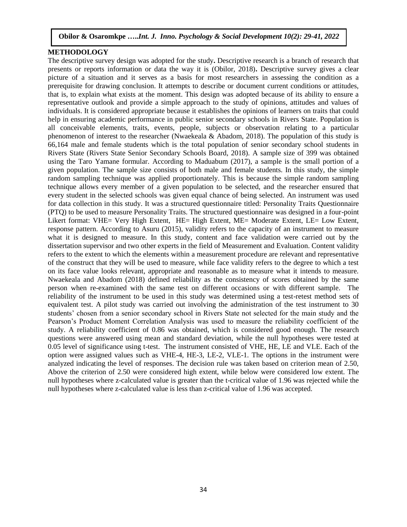#### **METHODOLOGY**

The descriptive survey design was adopted for the study**.** Descriptive research is a branch of research that presents or reports information or data the way it is (Obilor, 2018)**.** Descriptive survey gives a clear picture of a situation and it serves as a basis for most researchers in assessing the condition as a prerequisite for drawing conclusion. It attempts to describe or document current conditions or attitudes, that is, to explain what exists at the moment. This design was adopted because of its ability to ensure a representative outlook and provide a simple approach to the study of opinions, attitudes and values of individuals. It is considered appropriate because it establishes the opinions of learners on traits that could help in ensuring academic performance in public senior secondary schools in Rivers State. Population is all conceivable elements, traits, events, people, subjects or observation relating to a particular phenomenon of interest to the researcher (Nwaekeala & Abadom, 2018). The population of this study is 66,164 male and female students which is the total population of senior secondary school students in Rivers State (Rivers State Senior Secondary Schools Board, 2018). A sample size of 399 was obtained using the Taro Yamane formular. According to Maduabum (2017), a sample is the small portion of a given population. The sample size consists of both male and female students. In this study, the simple random sampling technique was applied proportionately. This is because the simple random sampling technique allows every member of a given population to be selected, and the researcher ensured that every student in the selected schools was given equal chance of being selected. An instrument was used for data collection in this study. It was a structured questionnaire titled: Personality Traits Questionnaire (PTQ) to be used to measure Personality Traits. The structured questionnaire was designed in a four-point Likert format: VHE= Very High Extent, HE= High Extent, ME= Moderate Extent, LE= Low Extent, response pattern. According to Asuru (2015), validity refers to the capacity of an instrument to measure what it is designed to measure. In this study, content and face validation were carried out by the dissertation supervisor and two other experts in the field of Measurement and Evaluation. Content validity refers to the extent to which the elements within a measurement procedure are relevant and representative of the construct that they will be used to measure, while face validity refers to the degree to which a test on its face value looks relevant, appropriate and reasonable as to measure what it intends to measure. Nwaekeala and Abadom (2018) defined reliability as the consistency of scores obtained by the same person when re-examined with the same test on different occasions or with different sample. The reliability of the instrument to be used in this study was determined using a test-retest method sets of equivalent test. A pilot study was carried out involving the administration of the test instrument to 30 students' chosen from a senior secondary school in Rivers State not selected for the main study and the Pearson's Product Moment Correlation Analysis was used to measure the reliability coefficient of the study. A reliability coefficient of 0.86 was obtained, which is considered good enough. The research questions were answered using mean and standard deviation, while the null hypotheses were tested at 0.05 level of significance using t-test. The instrument consisted of VHE, HE, LE and VLE. Each of the option were assigned values such as VHE-4, HE-3, LE-2, VLE-1. The options in the instrument were analyzed indicating the level of responses. The decision rule was taken based on criterion mean of 2.50, Above the criterion of 2.50 were considered high extent, while below were considered low extent. The null hypotheses where z-calculated value is greater than the t-critical value of 1.96 was rejected while the null hypotheses where z-calculated value is less than z-critical value of 1.96 was accepted.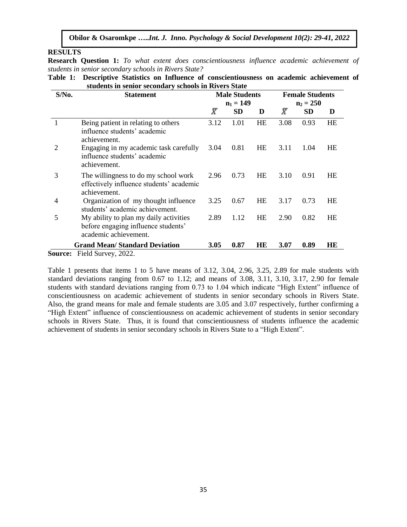#### **RESULTS**

**Research Question 1:** *To what extent does conscientiousness influence academic achievement of students in senior secondary schools in Rivers State?* 

| Table 1: Descriptive Statistics on Influence of conscientiousness on academic achievement of |  |
|----------------------------------------------------------------------------------------------|--|
| students in senior secondary schools in Rivers State                                         |  |

| $S/N0$ .       | <b>Statement</b>                                                                                       |           | <b>Male Students</b><br>$n_1 = 149$ |           | <b>Female Students</b><br>$n_2 = 250$ |           |           |  |
|----------------|--------------------------------------------------------------------------------------------------------|-----------|-------------------------------------|-----------|---------------------------------------|-----------|-----------|--|
|                |                                                                                                        | $\bar{X}$ | SD                                  | D         | $\bar{X}$                             | <b>SD</b> | D         |  |
|                | Being patient in relating to others<br>influence students' academic<br>achievement.                    | 3.12      | 1.01                                | HE        | 3.08                                  | 0.93      | HE        |  |
| $\overline{2}$ | Engaging in my academic task carefully<br>influence students' academic<br>achievement.                 | 3.04      | 0.81                                | <b>HE</b> | 3.11                                  | 1.04      | HE        |  |
| 3              | The willingness to do my school work<br>effectively influence students' academic<br>achievement.       | 2.96      | 0.73                                | <b>HE</b> | 3.10                                  | 0.91      | HE        |  |
| 4              | Organization of my thought influence<br>students' academic achievement.                                | 3.25      | 0.67                                | HE        | 3.17                                  | 0.73      | HE        |  |
| 5              | My ability to plan my daily activities<br>before engaging influence students'<br>academic achievement. | 2.89      | 1.12                                | HE        | 2.90                                  | 0.82      | <b>HE</b> |  |
|                | <b>Grand Mean/Standard Deviation</b>                                                                   | 3.05      | 0.87                                | HE        | 3.07                                  | 0.89      | HE        |  |
|                | <b>Source:</b> Field Survey, 2022.                                                                     |           |                                     |           |                                       |           |           |  |

Table 1 presents that items 1 to 5 have means of 3.12, 3.04, 2.96, 3.25, 2.89 for male students with standard deviations ranging from 0.67 to 1.12; and means of 3.08, 3.11, 3.10, 3.17, 2.90 for female students with standard deviations ranging from 0.73 to 1.04 which indicate "High Extent" influence of conscientiousness on academic achievement of students in senior secondary schools in Rivers State. Also, the grand means for male and female students are 3.05 and 3.07 respectively, further confirming a "High Extent" influence of conscientiousness on academic achievement of students in senior secondary schools in Rivers State. Thus, it is found that conscientiousness of students influence the academic achievement of students in senior secondary schools in Rivers State to a "High Extent".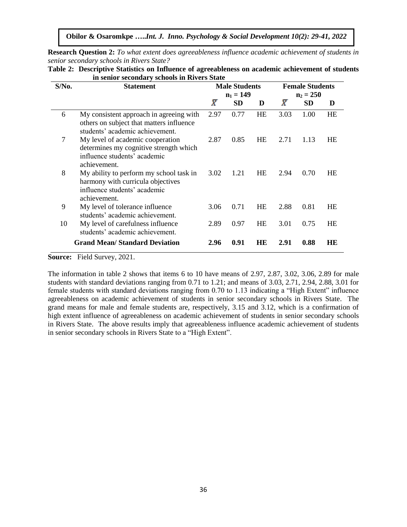**Research Question 2:** *To what extent does agreeableness influence academic achievement of students in senior secondary schools in Rivers State?* 

| $S/N0$ . | <b>Statement</b>                                                                                                             | <b>Male Students</b> |      |           | <b>Female Students</b><br>$n_1 = 149$<br>$n_2 = 250$ |           |           |  |  |  |
|----------|------------------------------------------------------------------------------------------------------------------------------|----------------------|------|-----------|------------------------------------------------------|-----------|-----------|--|--|--|
|          |                                                                                                                              | $\bar{X}$            | SD   | D         | $\bar{X}$                                            | <b>SD</b> | D         |  |  |  |
| 6        | My consistent approach in agreeing with<br>others on subject that matters influence<br>students' academic achievement.       | 2.97                 | 0.77 | HE        | 3.03                                                 | 1.00      | <b>HE</b> |  |  |  |
| 7        | My level of academic cooperation<br>determines my cognitive strength which<br>influence students' academic<br>achievement.   |                      | 0.85 | <b>HE</b> | 2.71                                                 | 1.13      | HЕ        |  |  |  |
| 8        | My ability to perform my school task in<br>harmony with curricula objectives<br>influence students' academic<br>achievement. | 3.02                 | 1.21 | HE        | 2.94                                                 | 0.70      | HE        |  |  |  |
| 9        | My level of tolerance influence<br>students' academic achievement.                                                           | 3.06                 | 0.71 | <b>HE</b> | 2.88                                                 | 0.81      | HE        |  |  |  |
| 10       | My level of carefulness influence<br>students' academic achievement.                                                         | 2.89                 | 0.97 | HE        | 3.01                                                 | 0.75      | HE        |  |  |  |
|          | <b>Grand Mean/Standard Deviation</b>                                                                                         | 2.96                 | 0.91 | HЕ        | 2.91                                                 | 0.88      | HE        |  |  |  |

**Table 2: Descriptive Statistics on Influence of agreeableness on academic achievement of students in senior secondary schools in Rivers State**

**Source:** Field Survey, 2021.

The information in table 2 shows that items 6 to 10 have means of 2.97, 2.87, 3.02, 3.06, 2.89 for male students with standard deviations ranging from 0.71 to 1.21; and means of 3.03, 2.71, 2.94, 2.88, 3.01 for female students with standard deviations ranging from 0.70 to 1.13 indicating a "High Extent" influence agreeableness on academic achievement of students in senior secondary schools in Rivers State. The grand means for male and female students are, respectively, 3.15 and 3.12, which is a confirmation of high extent influence of agreeableness on academic achievement of students in senior secondary schools in Rivers State. The above results imply that agreeableness influence academic achievement of students in senior secondary schools in Rivers State to a "High Extent".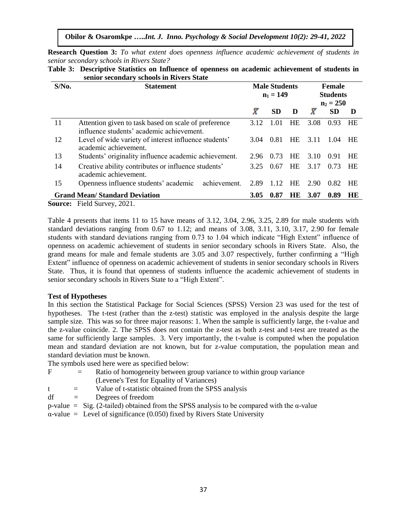**Obilor & Osaromkpe …..***Int. J. Inno. Psychology & Social Development 10(2): 29-41, 2022*

**Research Question 3:** *To what extent does openness influence academic achievement of students in senior secondary schools in Rivers State?*

|          | senior secondary schools in Rivers State                                                          |                                     |                                          |           |           |           |           |
|----------|---------------------------------------------------------------------------------------------------|-------------------------------------|------------------------------------------|-----------|-----------|-----------|-----------|
| $S/N0$ . | <b>Statement</b>                                                                                  | <b>Male Students</b><br>$n_1 = 149$ | Female<br><b>Students</b><br>$n_2 = 250$ |           |           |           |           |
|          |                                                                                                   | $\bar{X}$                           | <b>SD</b>                                | D         | $\bar{X}$ | <b>SD</b> | D         |
| 11       | Attention given to task based on scale of preference<br>influence students' academic achievement. | 3.12                                | 1.01                                     | HE        | 3.08      | 0.93      | HE        |
| 12       | Level of wide variety of interest influence students'<br>academic achievement.                    | 3.04                                | 0.81                                     | <b>HE</b> | 3.11      | 1.04      | <b>HE</b> |
| 13       | Students' originality influence academic achievement.                                             | 2.96                                | 0.73                                     | <b>HE</b> | 3.10      | 0.91      | <b>HE</b> |
| 14       | Creative ability contributes or influence students'<br>academic achievement.                      | 3.25                                | 0.67                                     | <b>HE</b> | 3.17      | 0.73      | HE        |
| 15       | achievement.<br>Openness influence students' academic                                             | 1.12                                | <b>HE</b>                                | 2.90      | 0.82      | HE        |           |
|          | <b>Grand Mean/Standard Deviation</b>                                                              | <b>3.05</b>                         | 0.87                                     | HE.       | 3.07      | 0.89      | HE.       |
|          | <b>Source:</b> Field Survey, 2021.                                                                |                                     |                                          |           |           |           |           |

**Table 3: Descriptive Statistics on Influence of openness on academic achievement of students in** 

Table 4 presents that items 11 to 15 have means of 3.12, 3.04, 2.96, 3.25, 2.89 for male students with standard deviations ranging from 0.67 to 1.12; and means of 3.08, 3.11, 3.10, 3.17, 2.90 for female students with standard deviations ranging from 0.73 to 1.04 which indicate "High Extent" influence of openness on academic achievement of students in senior secondary schools in Rivers State. Also, the grand means for male and female students are 3.05 and 3.07 respectively, further confirming a "High Extent" influence of openness on academic achievement of students in senior secondary schools in Rivers State. Thus, it is found that openness of students influence the academic achievement of students in senior secondary schools in Rivers State to a "High Extent".

#### **Test of Hypotheses**

In this section the Statistical Package for Social Sciences (SPSS) Version 23 was used for the test of hypotheses. The t-test (rather than the z-test) statistic was employed in the analysis despite the large sample size. This was so for three major reasons: 1. When the sample is sufficiently large, the t-value and the z-value coincide. 2. The SPSS does not contain the z-test as both z-test and t-test are treated as the same for sufficiently large samples. 3. Very importantly, the t-value is computed when the population mean and standard deviation are not known, but for z-value computation, the population mean and standard deviation must be known.

The symbols used here were as specified below:

- $F =$  Ratio of homogeneity between group variance to within group variance (Levene's Test for Equality of Variances)
- $t =$  Value of t-statistic obtained from the SPSS analysis
- $df = De$  grees of freedom
- p-value = Sig. (2-tailed) obtained from the SPSS analysis to be compared with the α-value
- $\alpha$ -value = Level of significance (0.050) fixed by Rivers State University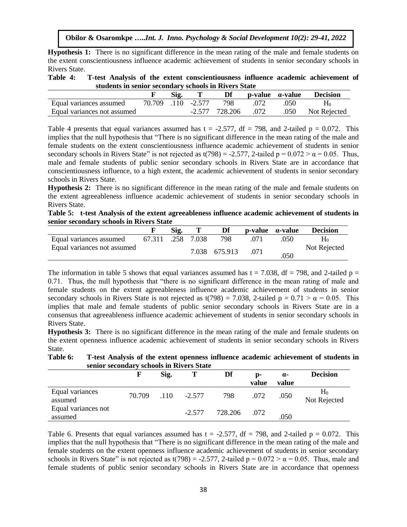**Hypothesis 1:** There is no significant difference in the mean rating of the male and female students on the extent conscientiousness influence academic achievement of students in senior secondary schools in Rivers State.

| Table 4: | T-test Analysis of the extent conscientiousness influence academic achievement of |  |
|----------|-----------------------------------------------------------------------------------|--|
|          | students in senior secondary schools in Rivers State                              |  |

|                             | Sig. |                    | Df             | $p$ -value $\alpha$ -value |      | <b>Decision</b> |
|-----------------------------|------|--------------------|----------------|----------------------------|------|-----------------|
| Equal variances assumed     |      | 70.709 .110 -2.577 | 798            | .072                       | .050 |                 |
| Equal variances not assumed |      |                    | -2.577 728.206 | .072                       | .050 | Not Rejected    |

Table 4 presents that equal variances assumed has  $t = -2.577$ , df = 798, and 2-tailed p = 0.072. This implies that the null hypothesis that "There is no significant difference in the mean rating of the male and female students on the extent conscientiousness influence academic achievement of students in senior secondary schools in Rivers State" is not rejected as t(798) = -2.577, 2-tailed  $p = 0.072 > \alpha = 0.05$ . Thus, male and female students of public senior secondary schools in Rivers State are in accordance that conscientiousness influence, to a high extent, the academic achievement of students in senior secondary schools in Rivers State.

**Hypothesis 2:** There is no significant difference in the mean rating of the male and female students on the extent agreeableness influence academic achievement of students in senior secondary schools in Rivers State.

**Table 5: t-test Analysis of the extent agreeableness influence academic achievement of students in senior secondary schools in Rivers State**

|                             |        | Sig. |            | Df            | $\mathbf{p}\text{-value}$ $\alpha\text{-value}$ |      | <b>Decision</b> |
|-----------------------------|--------|------|------------|---------------|-------------------------------------------------|------|-----------------|
| Equal variances assumed     | 67.311 |      | .258 7.038 | 798           |                                                 | .050 | H٥              |
| Equal variances not assumed |        |      |            | 7.038 675.913 | .071                                            | .050 | Not Rejected    |

The information in table 5 shows that equal variances assumed has  $t = 7.038$ , df = 798, and 2-tailed p = 0.71. Thus, the null hypothesis that "there is no significant difference in the mean rating of male and female students on the extent agreeableness influence academic achievement of students in senior secondary schools in Rivers State is not rejected as t(798) = 7.038, 2-tailed  $p = 0.71 > \alpha = 0.05$ . This implies that male and female students of public senior secondary schools in Rivers State are in a consensus that agreeableness influence academic achievement of students in senior secondary schools in Rivers State.

**Hypothesis 3:** There is no significant difference in the mean rating of the male and female students on the extent openness influence academic achievement of students in senior secondary schools in Rivers State.

**Table 6: T-test Analysis of the extent openness influence academic achievement of students in senior secondary schools in Rivers State**

|                                | F      | Sig. | т        | Df      | D-<br>value | $\alpha$ -<br>value | <b>Decision</b>       |
|--------------------------------|--------|------|----------|---------|-------------|---------------------|-----------------------|
| Equal variances<br>assumed     | 70.709 | .110 | $-2.577$ | 798     | .072        | .050                | $H_0$<br>Not Rejected |
| Equal variances not<br>assumed |        |      | $-2.577$ | 728.206 | .072        | .050                |                       |

Table 6. Presents that equal variances assumed has  $t = -2.577$ , df = 798, and 2-tailed  $p = 0.072$ . This implies that the null hypothesis that "There is no significant difference in the mean rating of the male and female students on the extent openness influence academic achievement of students in senior secondary schools in Rivers State" is not rejected as t(798) = -2.577, 2-tailed  $p = 0.072 > \alpha = 0.05$ . Thus, male and female students of public senior secondary schools in Rivers State are in accordance that openness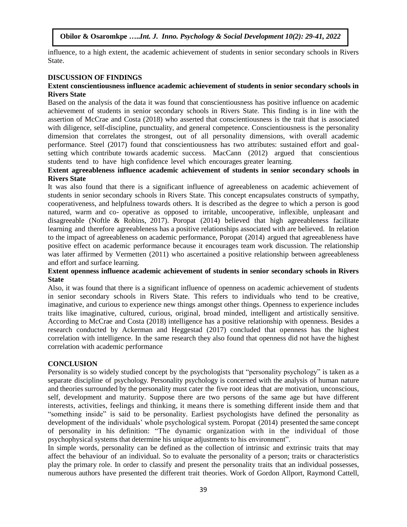influence, to a high extent, the academic achievement of students in senior secondary schools in Rivers State.

# **DISCUSSION OF FINDINGS**

#### **Extent conscientiousness influence academic achievement of students in senior secondary schools in Rivers State**

Based on the analysis of the data it was found that conscientiousness has positive influence on academic achievement of students in senior secondary schools in Rivers State. This finding is in line with the assertion of McCrae and Costa (2018) who asserted that conscientiousness is the trait that is associated with diligence, self-discipline, punctuality, and general competence. Conscientiousness is the personality dimension that correlates the strongest, out of all personality dimensions, with overall academic performance. Steel (2017) found that conscientiousness has two attributes: sustained effort and goalsetting which contribute towards academic success. MacCann (2012) argued that conscientious students tend to have high confidence level which encourages greater learning.

#### **Extent agreeableness influence academic achievement of students in senior secondary schools in Rivers State**

It was also found that there is a significant influence of agreeableness on academic achievement of students in senior secondary schools in Rivers State. This concept encapsulates constructs of sympathy, cooperativeness, and helpfulness towards others. It is described as the degree to which a person is good natured, warm and co- operative as opposed to irritable, uncooperative, inflexible, unpleasant and disagreeable (Noftle & Robins, 2017). Poropat (2014) believed that high agreeableness facilitate learning and therefore agreeableness has a positive relationships associated with are believed. In relation to the impact of agreeableness on academic performance, Poropat (2014) argued that agreeableness have positive effect on academic performance because it encourages team work discussion. The relationship was later affirmed by Vermetten (2011) who ascertained a positive relationship between agreeableness and effort and surface learning.

## **Extent openness influence academic achievement of students in senior secondary schools in Rivers State**

Also, it was found that there is a significant influence of openness on academic achievement of students in senior secondary schools in Rivers State. This refers to individuals who tend to be creative, imaginative, and curious to experience new things amongst other things. Openness to experience includes traits like imaginative, cultured, curious, original, broad minded, intelligent and artistically sensitive. According to McCrae and Costa (2018) intelligence has a positive relationship with openness. Besides a research conducted by Ackerman and Heggestad (2017) concluded that openness has the highest correlation with intelligence. In the same research they also found that openness did not have the highest correlation with academic performance

## **CONCLUSION**

Personality is so widely studied concept by the psychologists that "personality psychology" is taken as a separate discipline of psychology. Personality psychology is concerned with the analysis of human nature and theories surrounded by the personality must cater the five root ideas that are motivation, unconscious, self, development and maturity. Suppose there are two persons of the same age but have different interests, activities, feelings and thinking, it means there is something different inside them and that "something inside" is said to be personality. Earliest psychologists have defined the personality as development of the individuals' whole psychological system. Poropat (2014) presented the same concept of personality in his definition: "The dynamic organization with in the individual of those psychophysical systems that determine his unique adjustments to his environment".

In simple words, personality can be defined as the collection of intrinsic and extrinsic traits that may affect the behaviour of an individual. So to evaluate the personality of a person; traits or characteristics play the primary role. In order to classify and present the personality traits that an individual possesses, numerous authors have presented the different trait theories. Work of Gordon Allport, Raymond Cattell,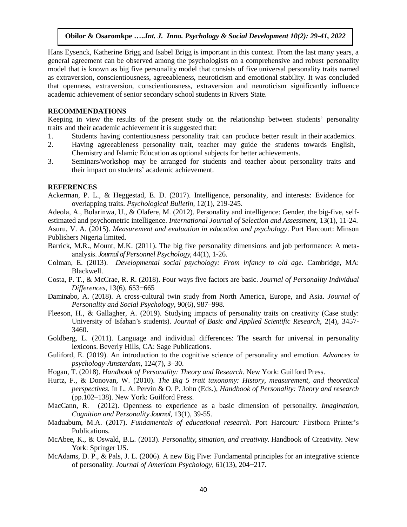Hans Eysenck, Katherine Brigg and Isabel Brigg is important in this context. From the last many years, a general agreement can be observed among the psychologists on a comprehensive and robust personality model that is known as big five personality model that consists of five universal personality traits named as extraversion, conscientiousness, agreeableness, neuroticism and emotional stability. It was concluded that openness, extraversion, conscientiousness, extraversion and neuroticism significantly influence academic achievement of senior secondary school students in Rivers State.

#### **RECOMMENDATIONS**

Keeping in view the results of the present study on the relationship between students' personality traits and their academic achievement it is suggested that:

- 1. Students having contentiousness personality trait can produce better result in their academics.
- 2. Having agreeableness personality trait, teacher may guide the students towards English, Chemistry and Islamic Education as optional subjects for better achievements.
- 3. Seminars/workshop may be arranged for students and teacher about personality traits and their impact on students' academic achievement.

#### **REFERENCES**

- Ackerman, P. L., & Heggestad, E. D. (2017). Intelligence, personality, and interests: Evidence for overlapping traits. *Psychological Bulletin,* 12(1), 219-245.
- Adeola, A., Bolarinwa, U., & Olafere, M. (2012). Personality and intelligence: Gender, the big-five, selfestimated and psychometric intelligence. *International Journal of Selection and Assessment,* 13(1), 11-24.
- Asuru, V. A. (2015). *Measurement and evaluation in education and psychology*. Port Harcourt: Minson Publishers Nigeria limited.
- Barrick, M.R., Mount, M.K. (2011). The big five personality dimensions and job performance: A metaanalysis. *Journal of Personnel Psychology,* 44(1), 1-26.
- Colman, E. (2013). *Developmental social psychology: From infancy to old age*. Cambridge, MA: Blackwell.
- Costa, P. T., & McCrae, R. R. (2018). Four ways five factors are basic. *Journal of Personality Individual Differences,* 13(6), 653−665
- Daminabo, A. (2018). A cross-cultural twin study from North America, Europe, and Asia. *Journal of Personality and Social Psychology,* 90(6), 987–998.
- Fleeson, H., & Gallagher, A. (2019). Studying impacts of personality traits on creativity (Case study: University of Isfahan's students). *Journal of Basic and Applied Scientific Research,* 2(4), 3457- 3460.
- Goldberg, L. (2011). Language and individual differences: The search for universal in personality lexicons. Beverly Hills, CA: Sage Publications.
- Guliford, E. (2019). An introduction to the cognitive science of personality and emotion. *Advances in psychology-Amsterdam,* 124(7), 3–30.
- Hogan, T. (2018). *Handbook of Personality: Theory and Research.* New York: Guilford Press.
- Hurtz, F., & Donovan, W. (2010). *The Big 5 trait taxonomy: History, measurement, and theoretical perspectives.* In L. A. Pervin & O. P. John (Eds.), *Handbook of Personality: Theory and research* (pp.102–138). New York: Guilford Press.
- MacCann, R. (2012). Openness to experience as a basic dimension of personality. *Imagination, Cognition and Personality Journal,* 13(1), 39-55.
- Maduabum, M.A. (2017). *Fundamentals of educational research.* Port Harcourt*:* Firstborn Printer's Publications.
- McAbee, K., & Oswald, B.L. (2013). *Personality, situation, and creativity*. Handbook of Creativity. New York: Springer US.
- McAdams, D. P., & Pals, J. L. (2006). A new Big Five: Fundamental principles for an integrative science of personality. *Journal of American Psychology,* 61(13), 204−217*.*